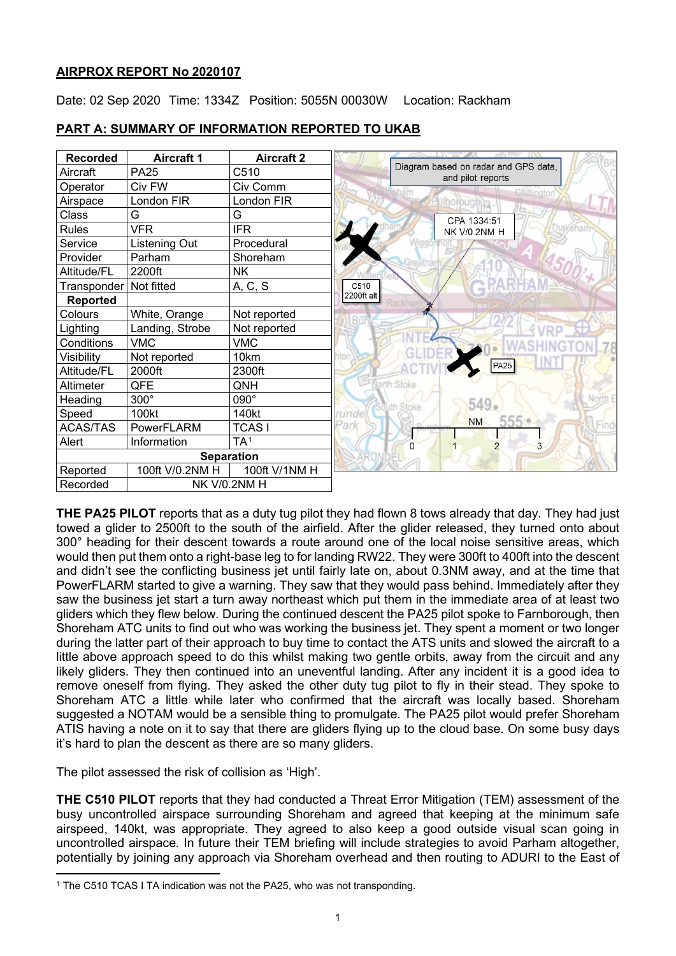# **AIRPROX REPORT No 2020107**

Date: 02 Sep 2020 Time: 1334Z Position: 5055N 00030W Location: Rackham



# **PART A: SUMMARY OF INFORMATION REPORTED TO UKAB**

**THE PA25 PILOT** reports that as a duty tug pilot they had flown 8 tows already that day. They had just towed a glider to 2500ft to the south of the airfield. After the glider released, they turned onto about 300° heading for their descent towards a route around one of the local noise sensitive areas, which would then put them onto a right-base leg to for landing RW22. They were 300ft to 400ft into the descent and didn't see the conflicting business jet until fairly late on, about 0.3NM away, and at the time that PowerFLARM started to give a warning. They saw that they would pass behind. Immediately after they saw the business jet start a turn away northeast which put them in the immediate area of at least two gliders which they flew below. During the continued descent the PA25 pilot spoke to Farnborough, then Shoreham ATC units to find out who was working the business jet. They spent a moment or two longer during the latter part of their approach to buy time to contact the ATS units and slowed the aircraft to a little above approach speed to do this whilst making two gentle orbits, away from the circuit and any likely gliders. They then continued into an uneventful landing. After any incident it is a good idea to remove oneself from flying. They asked the other duty tug pilot to fly in their stead. They spoke to Shoreham ATC a little while later who confirmed that the aircraft was locally based. Shoreham suggested a NOTAM would be a sensible thing to promulgate. The PA25 pilot would prefer Shoreham ATIS having a note on it to say that there are gliders flying up to the cloud base. On some busy days it's hard to plan the descent as there are so many gliders.

The pilot assessed the risk of collision as 'High'.

**THE C510 PILOT** reports that they had conducted a Threat Error Mitigation (TEM) assessment of the busy uncontrolled airspace surrounding Shoreham and agreed that keeping at the minimum safe airspeed, 140kt, was appropriate. They agreed to also keep a good outside visual scan going in uncontrolled airspace. In future their TEM briefing will include strategies to avoid Parham altogether, potentially by joining any approach via Shoreham overhead and then routing to ADURI to the East of

<span id="page-0-0"></span><sup>&</sup>lt;sup>1</sup> The C510 TCAS I TA indication was not the PA25, who was not transponding.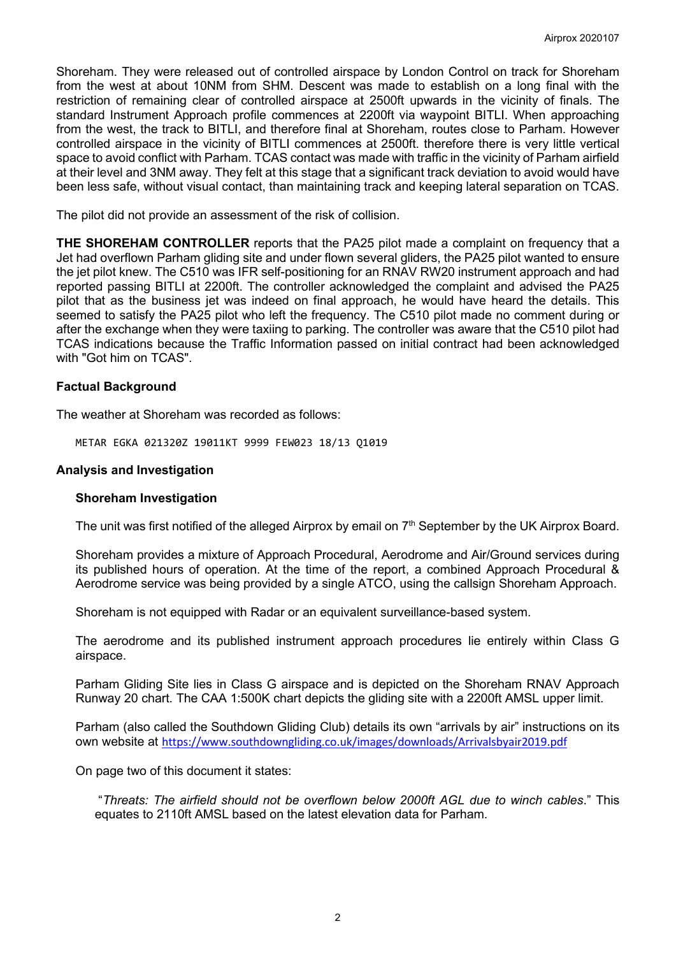Shoreham. They were released out of controlled airspace by London Control on track for Shoreham from the west at about 10NM from SHM. Descent was made to establish on a long final with the restriction of remaining clear of controlled airspace at 2500ft upwards in the vicinity of finals. The standard Instrument Approach profile commences at 2200ft via waypoint BITLI. When approaching from the west, the track to BITLI, and therefore final at Shoreham, routes close to Parham. However controlled airspace in the vicinity of BITLI commences at 2500ft. therefore there is very little vertical space to avoid conflict with Parham. TCAS contact was made with traffic in the vicinity of Parham airfield at their level and 3NM away. They felt at this stage that a significant track deviation to avoid would have been less safe, without visual contact, than maintaining track and keeping lateral separation on TCAS.

The pilot did not provide an assessment of the risk of collision.

**THE SHOREHAM CONTROLLER** reports that the PA25 pilot made a complaint on frequency that a Jet had overflown Parham gliding site and under flown several gliders, the PA25 pilot wanted to ensure the jet pilot knew. The C510 was IFR self-positioning for an RNAV RW20 instrument approach and had reported passing BITLI at 2200ft. The controller acknowledged the complaint and advised the PA25 pilot that as the business jet was indeed on final approach, he would have heard the details. This seemed to satisfy the PA25 pilot who left the frequency. The C510 pilot made no comment during or after the exchange when they were taxiing to parking. The controller was aware that the C510 pilot had TCAS indications because the Traffic Information passed on initial contract had been acknowledged with "Got him on TCAS".

## **Factual Background**

The weather at Shoreham was recorded as follows:

METAR EGKA 021320Z 19011KT 9999 FEW023 18/13 Q1019

#### **Analysis and Investigation**

#### **Shoreham Investigation**

The unit was first notified of the alleged Airprox by email on 7<sup>th</sup> September by the UK Airprox Board.

Shoreham provides a mixture of Approach Procedural, Aerodrome and Air/Ground services during its published hours of operation. At the time of the report, a combined Approach Procedural & Aerodrome service was being provided by a single ATCO, using the callsign Shoreham Approach.

Shoreham is not equipped with Radar or an equivalent surveillance-based system.

The aerodrome and its published instrument approach procedures lie entirely within Class G airspace.

Parham Gliding Site lies in Class G airspace and is depicted on the Shoreham RNAV Approach Runway 20 chart. The CAA 1:500K chart depicts the gliding site with a 2200ft AMSL upper limit.

Parham (also called the Southdown Gliding Club) details its own "arrivals by air" instructions on its own website at <https://www.southdowngliding.co.uk/images/downloads/Arrivalsbyair2019.pdf>

On page two of this document it states:

"*Threats: The airfield should not be overflown below 2000ft AGL due to winch cables*." This equates to 2110ft AMSL based on the latest elevation data for Parham.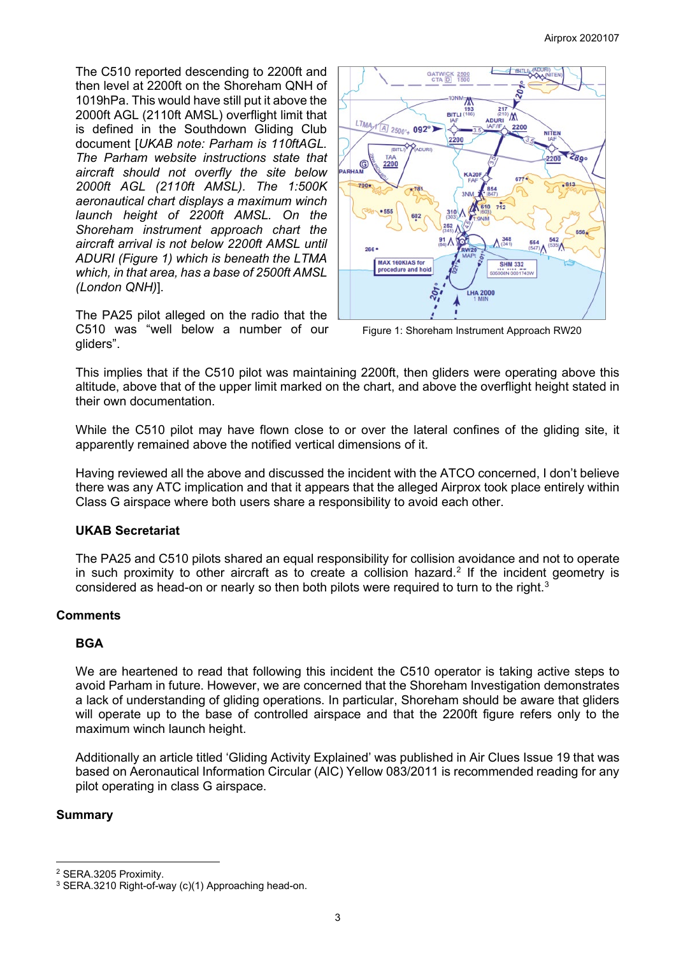The C510 reported descending to 2200ft and then level at 2200ft on the Shoreham QNH of 1019hPa. This would have still put it above the 2000ft AGL (2110ft AMSL) overflight limit that is defined in the Southdown Gliding Club document [*UKAB note: Parham is 110ftAGL. The Parham website instructions state that aircraft should not overfly the site below 2000ft AGL (2110ft AMSL). The 1:500K aeronautical chart displays a maximum winch launch height of 2200ft AMSL. On the Shoreham instrument approach chart the aircraft arrival is not below 2200ft AMSL until ADURI (Figure 1) which is beneath the LTMA which, in that area, has a base of 2500ft AMSL (London QNH)*].

The PA25 pilot alleged on the radio that the C510 was "well below a number of our gliders".



Figure 1: Shoreham Instrument Approach RW20

This implies that if the C510 pilot was maintaining 2200ft, then gliders were operating above this altitude, above that of the upper limit marked on the chart, and above the overflight height stated in their own documentation.

While the C510 pilot may have flown close to or over the lateral confines of the gliding site, it apparently remained above the notified vertical dimensions of it.

Having reviewed all the above and discussed the incident with the ATCO concerned, I don't believe there was any ATC implication and that it appears that the alleged Airprox took place entirely within Class G airspace where both users share a responsibility to avoid each other.

## **UKAB Secretariat**

The PA25 and C510 pilots shared an equal responsibility for collision avoidance and not to operate in such proximity to other aircraft as to create a collision hazard.<sup>[2](#page-2-0)</sup> If the incident geometry is considered as head-on or nearly so then both pilots were required to turn to the right. $^3$  $^3$ 

## **Comments**

## **BGA**

We are heartened to read that following this incident the C510 operator is taking active steps to avoid Parham in future. However, we are concerned that the Shoreham Investigation demonstrates a lack of understanding of gliding operations. In particular, Shoreham should be aware that gliders will operate up to the base of controlled airspace and that the 2200ft figure refers only to the maximum winch launch height.

Additionally an article titled 'Gliding Activity Explained' was published in Air Clues Issue 19 that was based on Aeronautical Information Circular (AIC) Yellow 083/2011 is recommended reading for any pilot operating in class G airspace.

## **Summary**

<span id="page-2-0"></span><sup>2</sup> SERA.3205 Proximity.

<span id="page-2-1"></span><sup>3</sup> SERA.3210 Right-of-way (c)(1) Approaching head-on.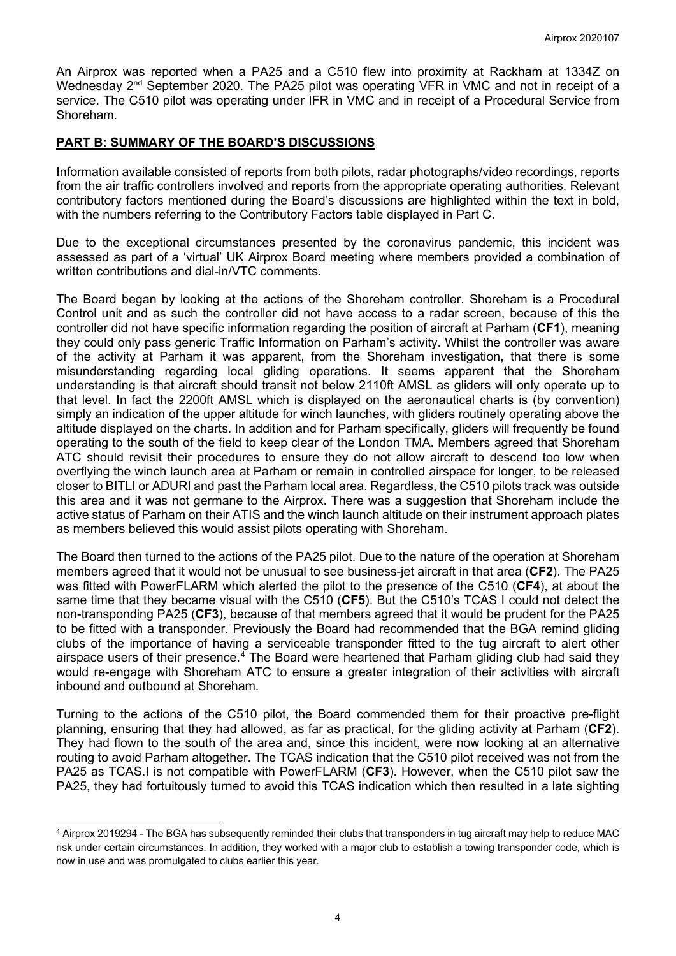An Airprox was reported when a PA25 and a C510 flew into proximity at Rackham at 1334Z on Wednesdav 2<sup>nd</sup> September 2020. The PA25 pilot was operating VFR in VMC and not in receipt of a service. The C510 pilot was operating under IFR in VMC and in receipt of a Procedural Service from Shoreham.

## **PART B: SUMMARY OF THE BOARD'S DISCUSSIONS**

Information available consisted of reports from both pilots, radar photographs/video recordings, reports from the air traffic controllers involved and reports from the appropriate operating authorities. Relevant contributory factors mentioned during the Board's discussions are highlighted within the text in bold, with the numbers referring to the Contributory Factors table displayed in Part C.

Due to the exceptional circumstances presented by the coronavirus pandemic, this incident was assessed as part of a 'virtual' UK Airprox Board meeting where members provided a combination of written contributions and dial-in/VTC comments.

The Board began by looking at the actions of the Shoreham controller. Shoreham is a Procedural Control unit and as such the controller did not have access to a radar screen, because of this the controller did not have specific information regarding the position of aircraft at Parham (**CF1**), meaning they could only pass generic Traffic Information on Parham's activity. Whilst the controller was aware of the activity at Parham it was apparent, from the Shoreham investigation, that there is some misunderstanding regarding local gliding operations. It seems apparent that the Shoreham understanding is that aircraft should transit not below 2110ft AMSL as gliders will only operate up to that level. In fact the 2200ft AMSL which is displayed on the aeronautical charts is (by convention) simply an indication of the upper altitude for winch launches, with gliders routinely operating above the altitude displayed on the charts. In addition and for Parham specifically, gliders will frequently be found operating to the south of the field to keep clear of the London TMA. Members agreed that Shoreham ATC should revisit their procedures to ensure they do not allow aircraft to descend too low when overflying the winch launch area at Parham or remain in controlled airspace for longer, to be released closer to BITLI or ADURI and past the Parham local area. Regardless, the C510 pilots track was outside this area and it was not germane to the Airprox. There was a suggestion that Shoreham include the active status of Parham on their ATIS and the winch launch altitude on their instrument approach plates as members believed this would assist pilots operating with Shoreham.

The Board then turned to the actions of the PA25 pilot. Due to the nature of the operation at Shoreham members agreed that it would not be unusual to see business-jet aircraft in that area (**CF2**). The PA25 was fitted with PowerFLARM which alerted the pilot to the presence of the C510 (**CF4**), at about the same time that they became visual with the C510 (**CF5**). But the C510's TCAS I could not detect the non-transponding PA25 (**CF3**), because of that members agreed that it would be prudent for the PA25 to be fitted with a transponder. Previously the Board had recommended that the BGA remind gliding clubs of the importance of having a serviceable transponder fitted to the tug aircraft to alert other airspace users of their presence.<sup>[4](#page-3-0)</sup> The Board were heartened that Parham gliding club had said they would re-engage with Shoreham ATC to ensure a greater integration of their activities with aircraft inbound and outbound at Shoreham.

Turning to the actions of the C510 pilot, the Board commended them for their proactive pre-flight planning, ensuring that they had allowed, as far as practical, for the gliding activity at Parham (**CF2**). They had flown to the south of the area and, since this incident, were now looking at an alternative routing to avoid Parham altogether. The TCAS indication that the C510 pilot received was not from the PA25 as TCAS.I is not compatible with PowerFLARM (**CF3**). However, when the C510 pilot saw the PA25, they had fortuitously turned to avoid this TCAS indication which then resulted in a late sighting

<span id="page-3-0"></span><sup>4</sup> Airprox 2019294 - The BGA has subsequently reminded their clubs that transponders in tug aircraft may help to reduce MAC risk under certain circumstances. In addition, they worked with a major club to establish a towing transponder code, which is now in use and was promulgated to clubs earlier this year.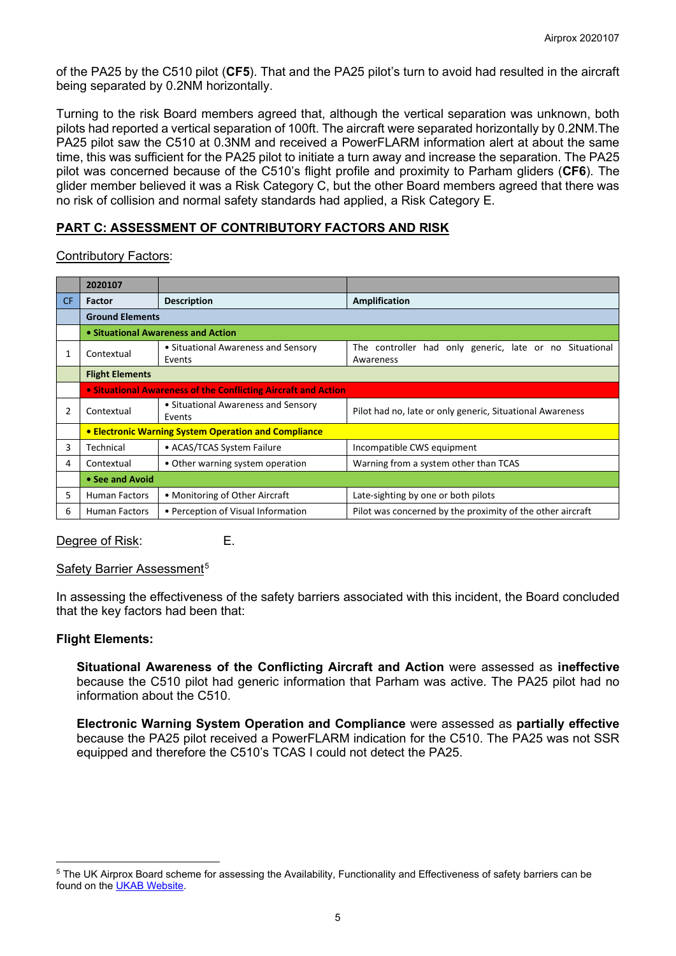of the PA25 by the C510 pilot (**CF5**). That and the PA25 pilot's turn to avoid had resulted in the aircraft being separated by 0.2NM horizontally.

Turning to the risk Board members agreed that, although the vertical separation was unknown, both pilots had reported a vertical separation of 100ft. The aircraft were separated horizontally by 0.2NM.The PA25 pilot saw the C510 at 0.3NM and received a PowerFLARM information alert at about the same time, this was sufficient for the PA25 pilot to initiate a turn away and increase the separation. The PA25 pilot was concerned because of the C510's flight profile and proximity to Parham gliders (**CF6**). The glider member believed it was a Risk Category C, but the other Board members agreed that there was no risk of collision and normal safety standards had applied, a Risk Category E.

# **PART C: ASSESSMENT OF CONTRIBUTORY FACTORS AND RISK**

Contributory Factors:

|     | 2020107                                                        |                                               |                                                                      |
|-----|----------------------------------------------------------------|-----------------------------------------------|----------------------------------------------------------------------|
| CF. | Factor                                                         | <b>Description</b>                            | <b>Amplification</b>                                                 |
|     | <b>Ground Elements</b>                                         |                                               |                                                                      |
|     | • Situational Awareness and Action                             |                                               |                                                                      |
| 1   | Contextual                                                     | • Situational Awareness and Sensory<br>Events | The controller had only generic, late or no Situational<br>Awareness |
|     | <b>Flight Elements</b>                                         |                                               |                                                                      |
|     | • Situational Awareness of the Conflicting Aircraft and Action |                                               |                                                                      |
| 2   | Contextual                                                     | • Situational Awareness and Sensory<br>Events | Pilot had no, late or only generic, Situational Awareness            |
|     | <b>• Electronic Warning System Operation and Compliance</b>    |                                               |                                                                      |
| 3   | Technical                                                      | • ACAS/TCAS System Failure                    | Incompatible CWS equipment                                           |
| 4   | Contextual                                                     | • Other warning system operation              | Warning from a system other than TCAS                                |
|     | • See and Avoid                                                |                                               |                                                                      |
| 5.  | <b>Human Factors</b>                                           | • Monitoring of Other Aircraft                | Late-sighting by one or both pilots                                  |
| 6   | <b>Human Factors</b>                                           | • Perception of Visual Information            | Pilot was concerned by the proximity of the other aircraft           |

Degree of Risk: E.

## Safety Barrier Assessment<sup>[5](#page-4-0)</sup>

In assessing the effectiveness of the safety barriers associated with this incident, the Board concluded that the key factors had been that:

#### **Flight Elements:**

**Situational Awareness of the Conflicting Aircraft and Action** were assessed as **ineffective** because the C510 pilot had generic information that Parham was active. The PA25 pilot had no information about the C510.

**Electronic Warning System Operation and Compliance** were assessed as **partially effective** because the PA25 pilot received a PowerFLARM indication for the C510. The PA25 was not SSR equipped and therefore the C510's TCAS I could not detect the PA25.

<span id="page-4-0"></span><sup>&</sup>lt;sup>5</sup> The UK Airprox Board scheme for assessing the Availability, Functionality and Effectiveness of safety barriers can be found on the [UKAB Website.](http://www.airproxboard.org.uk/Learn-more/Airprox-Barrier-Assessment/)